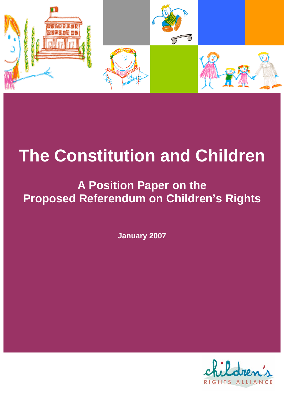

# **The Constitution and Children**

# **A Position Paper on the Proposed Referendum on Children's Rights**

**January 2007** 

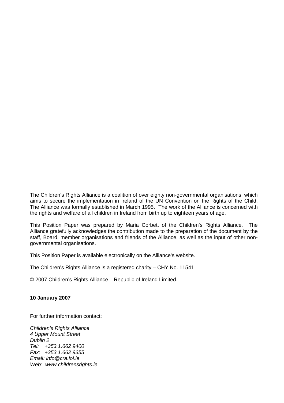The Children's Rights Alliance is a coalition of over eighty non-governmental organisations, which aims to secure the implementation in Ireland of the UN Convention on the Rights of the Child. The Alliance was formally established in March 1995. The work of the Alliance is concerned with the rights and welfare of all children in Ireland from birth up to eighteen years of age.

This Position Paper was prepared by Maria Corbett of the Children's Rights Alliance. The Alliance gratefully acknowledges the contribution made to the preparation of the document by the staff, Board, member organisations and friends of the Alliance, as well as the input of other nongovernmental organisations.

This Position Paper is available electronically on the Alliance's website.

The Children's Rights Alliance is a registered charity – CHY No. 11541

© 2007 Children's Rights Alliance – Republic of Ireland Limited.

#### **10 January 2007**

For further information contact:

*Children's Rights Alliance 4 Upper Mount Street Dublin 2 Tel: +353.1.662 9400 Fax: +353.1.662 9355 Email: info@cra.iol.ie Web: www.childrensrights.ie*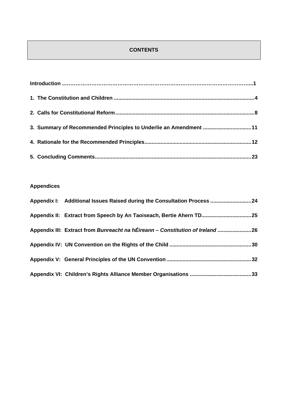# **CONTENTS**

|  | 3. Summary of Recommended Principles to Underlie an Amendment 11 |  |
|--|------------------------------------------------------------------|--|
|  |                                                                  |  |
|  |                                                                  |  |

# **Appendices**

| Appendix I: Additional Issues Raised during the Consultation Process 24       |  |
|-------------------------------------------------------------------------------|--|
| Appendix II: Extract from Speech by An Taoiseach, Bertie Ahern TD 25          |  |
| Appendix III: Extract from Bunreacht na hÉireann - Constitution of Ireland 26 |  |
|                                                                               |  |
|                                                                               |  |
|                                                                               |  |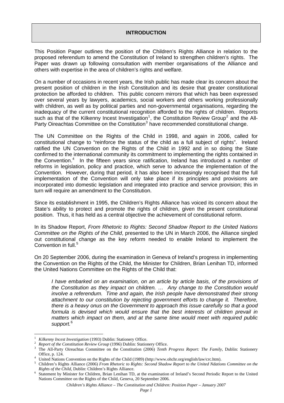#### **INTRODUCTION**

<span id="page-4-0"></span>This Position Paper outlines the position of the Children's Rights Alliance in relation to the proposed referendum to amend the Constitution of Ireland to strengthen children's rights. The Paper was drawn up following consultation with member organisations of the Alliance and others with expertise in the area of children's rights and welfare.

On a number of occasions in recent years, the Irish public has made clear its concern about the present position of children in the Irish Constitution and its desire that greater constitutional protection be afforded to children. This public concern mirrors that which has been expressed over several years by lawyers, academics, social workers and others working professionally with children, as well as by political parties and non-governmental organisations, regarding the inadequacy of the current constitutional recognition afforded to the rights of children. Reports such as that of the Kilkenny Incest Investigation<sup>[1](#page-4-1)</sup>, the Constitution Review Group<sup>[2](#page-4-2)</sup> and the All-Party Oireachtas Committee on the Constitution<sup>[3](#page-4-3)</sup> have recommended constitutional change.

The UN Committee on the Rights of the Child in 1998, and again in 2006, called for constitutional change to "reinforce the status of the child as a full subject of rights". Ireland ratified the UN Convention on the Rights of the Child in 1992 and in so doing the State confirmed to the international community its commitment to implementing the rights contained in the Convention.<sup>[4](#page-4-4)</sup> In the fifteen years since ratification, Ireland has introduced a number of reforms in legislation, policy and practice, which serve to advance the implementation of the Convention. However, during that period, it has also been increasingly recognised that the full implementation of the Convention will only take place if its principles and provisions are incorporated into domestic legislation and integrated into practice and service provision; this in turn will require an amendment to the Constitution.

Since its establishment in 1995, the Children's Rights Alliance has voiced its concern about the State's ability to protect and promote the rights of children, given the present constitutional position. Thus, it has held as a central objective the achievement of constitutional reform.

In its Shadow Report, *From Rhetoric to Rights: Second Shadow Report to the United Nations Committee on the Rights of the Child*, presented to the UN in March 2006, the Alliance singled out constitutional change as the key reform needed to enable Ireland to implement the Convention in full.<sup>[5](#page-4-5)</sup>

On 20 September 2006, during the examination in Geneva of Ireland's progress in implementing the Convention on the Rights of the Child, the Minister for Children, Brian Lenihan TD, informed the United Nations Committee on the Rights of the Child that:

*I have embarked on an examination, on an article by article basis, of the provisions of the Constitution as they impact on children. … Any change to the Constitution would involve a referendum. Time and again, the Irish people have demonstrated their strong attachment to our constitution by rejecting government efforts to change it. Therefore, there is a heavy onus on the Government to approach this issue carefully so that a good formula is devised which would ensure that the best interests of children prevail in matters which impact on them, and at the same time would meet with required public support.*[6](#page-4-6)

 $\overline{a}$ 

<span id="page-4-1"></span><sup>1</sup> *Kilkenny Incest Investigation* (1993) Dublin: Stationery Office. 2

<span id="page-4-2"></span>*Report of the Constitution Review Group* (1996) Dublin: Stationery Office.

<span id="page-4-3"></span>The All-Party Oireachtas Committee on the Constitution (2006) *Tenth Progress Report: The Family*, Dublin: Stationery Office, p. 124.

<span id="page-4-4"></span>United Nations Convention on the Rights of the Child (1989) (http://www.ohchr.org/english/law/crc.htm).<br>
<sup>5</sup> Children's Bights Alliance (2006) Enom Bhatoria to Bights: Second Shadow Banort to the United Ndation

<span id="page-4-5"></span>Children's Rights Alliance (2006) *From Rhetoric to Rights: Second Shadow Report to the United Ndations Committee on the Rights of the Child*, Dublin: Children's Rights Alliance.

<span id="page-4-6"></span><sup>&</sup>lt;sup>6</sup> Statement by Minister for Children, Brian Lenihan TD, at the examination of Ireland's Second Periodic Report to the United Nations Committee on the Rights of the Child, Geneva, 20 September 2006.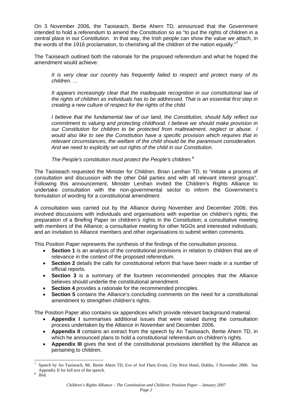On 3 November 2006, the Taoiseach, Bertie Ahern TD, announced that the Government intended to hold a referendum to amend the Constitution so as "to put the rights of children in a central place in our Constitution. In that way, the Irish people can show the value we attach, in the words of the 1916 proclamation, to cherishing all the children of the nation equally."<sup>[7](#page-5-0)</sup>

The Taoiseach outlined both the rationale for the proposed referendum and what he hoped the amendment would achieve:

*It is very clear our country has frequently failed to respect and protect many of its children. …* 

*It appears increasingly clear that the inadequate recognition in our constitutional law of the rights of children as individuals has to be addressed. That is an essential first step in creating a new culture of respect for the rights of the child.* 

*I believe that the fundamental law of our land, the Constitution, should fully reflect our commitment to valuing and protecting childhood. I believe we should make provision in our Constitution for children to be protected from maltreatment, neglect or abuse. I would also like to see the Constitution have a specific provision which requires that in relevant circumstances, the welfare of the child should be the paramount consideration. And we need to explicitly set out rights of the child in our Constitution.* 

*The People's constitution must protect the People's children.*[8](#page-5-1)

The Taoiseach requested the Minister for Children, Brian Lenihan TD, to "initiate a process of consultation and discussion with the other Dáil parties and with all relevant interest groups". Following this announcement, Minister Lenihan invited the Children's Rights Alliance to undertake consultation with the non-governmental sector to inform the Government's formulation of wording for a constitutional amendment.

A consultation was carried out by the Alliance during November and December 2006; this involved discussions with individuals and organisations with expertise on children's rights; the preparation of a Briefing Paper on children's rights in the Constitution; a consultative meeting with members of the Alliance; a consultative meeting for other NGOs and interested individuals; and an invitation to Alliance members and other organisations to submit written comments.

This Position Paper represents the synthesis of the findings of the consultation process.

- **Section 1** is an analysis of the constitutional provisions in relation to children that are of relevance in the context of the proposed referendum.
- **Section 2** details the calls for constitutional reform that have been made in a number of official reports.
- **Section 3** is a summary of the fourteen recommended principles that the Alliance believes should underlie the constitutional amendment.
- **Section 4** provides a rationale for the recommended principles.
- **Section 5** contains the Alliance's concluding comments on the need for a constitutional amendment to strengthen children's rights.

The Position Paper also contains six appendices which provide relevant background material.

- **Appendix I** summarises additional issues that were raised during the consultation process undertaken by the Alliance in November and December 2006.
- **Appendix II** contains an extract from the speech by An Taoiseach, Bertie Ahern TD, in which he announced plans to hold a constitutional referendum on children's rights.
- **Appendix III** gives the text of the constitutional provisions identified by the Alliance as pertaining to children.

 $\overline{a}$ 

<span id="page-5-0"></span><sup>7</sup> Speech by An Taoiseach, Mr. Bertie Ahern TD, Eve of Ard Fheis Event, City West Hotel, Dublin, 3 November 2006. See Appendix II for full text of the speech.

<span id="page-5-1"></span>*Ibid*.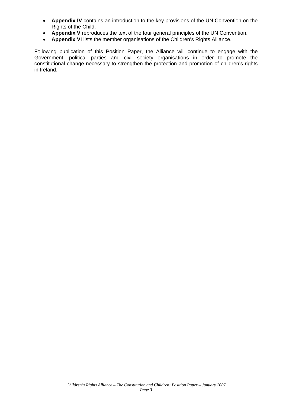- **Appendix IV** contains an introduction to the key provisions of the UN Convention on the Rights of the Child.
- **Appendix V** reproduces the text of the four general principles of the UN Convention.
- **Appendix VI** lists the member organisations of the Children's Rights Alliance.

Following publication of this Position Paper, the Alliance will continue to engage with the Government, political parties and civil society organisations in order to promote the constitutional change necessary to strengthen the protection and promotion of children's rights in Ireland.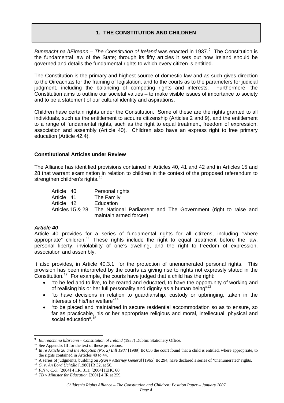#### **1. THE CONSTITUTION AND CHILDREN**

<span id="page-7-0"></span>Bunreacht na hÉireann – The Constitution of Ireland was enacted in 1[9](#page-7-1)37.<sup>9</sup> The Constitution is the fundamental law of the State; through its fifty articles it sets out how Ireland should be governed and details the fundamental rights to which every citizen is entitled.

The Constitution is the primary and highest source of domestic law and as such gives direction to the Oireachtas for the framing of legislation, and to the courts as to the parameters for judicial judgment, including the balancing of competing rights and interests. Furthermore, the Constitution aims to outline our societal values – to make visible issues of importance to society and to be a statement of our cultural identity and aspirations.

Children have certain rights under the Constitution. Some of these are the rights granted to all individuals, such as the entitlement to acquire citizenship (Articles 2 and 9), and the entitlement to a range of fundamental rights, such as the right to equal treatment, freedom of expression, association and assembly (Article 40). Children also have an express right to free primary education (Article 42.4).

#### **Constitutional Articles under Review**

The Alliance has identified provisions contained in Articles 40, 41 and 42 and in Articles 15 and 28 that warrant examination in relation to children in the context of the proposed referendum to strengthen children's rights.<sup>[10](#page-7-2)</sup>

Article 40 Personal rights Article 41 The Family Article 42 Education Articles 15 & 28 The National Parliament and The Government (right to raise and maintain armed forces)

#### *Article 40*

 $\overline{a}$ 

Article 40 provides for a series of fundamental rights for all citizens, including "where appropriate" children.[11](#page-7-3) These rights include the right to equal treatment before the law, personal liberty, inviolability of one's dwelling, and the right to freedom of expression, association and assembly.

It also provides, in Article 40.3.1, for the protection of unenumerated personal rights. This provision has been interpreted by the courts as giving rise to rights not expressly stated in the Constitution.<sup>[12](#page-7-4)</sup> For example, the courts have judged that a child has the right:

- "to be fed and to live, to be reared and educated, to have the opportunity of working and of realising his or her full personality and dignity as a human being"[13](#page-7-5)
- "to have decisions in relation to guardianship, custody or upbringing, taken in the interests of his/her welfare"<sup>[14](#page-7-6)</sup>
- "to be placed and maintained in secure residential accommodation so as to ensure, so far as practicable, his or her appropriate religious and moral, intellectual, physical and social education".<sup>[15](#page-7-7)</sup>

<span id="page-7-1"></span><sup>9</sup> <sup>9</sup> *Bunreacht na hÉireann* – *Constitution of Ireland* (1937) Dublin: Stationery Office. <sup>10</sup> See Appendix III for the text of these provisions.

<span id="page-7-3"></span><span id="page-7-2"></span><sup>&</sup>lt;sup>11</sup> In *re Article 26 and the Adoption (No. 2) Bill 1987* [1989] IR 656 the court found that a child is entitled, where appropriate, to the rights contained in Articles 40 to 44.

<span id="page-7-4"></span><sup>&</sup>lt;sup>12</sup> A series of judgments, building on *Ryan v Attorney General* [1965] IR 294, have declared a series of 'unenumerated' rights.<br><sup>13</sup> *G. v. An Bord Uchtála* [1980] IR 32, at 56.<br><sup>14</sup> *F.N v. C.O.* [2004] 4 I.R. 311; [20

<span id="page-7-5"></span>

<span id="page-7-6"></span>

<span id="page-7-7"></span>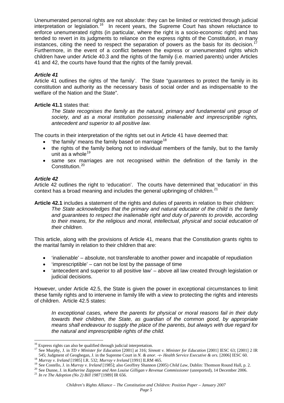Unenumerated personal rights are not absolute: they can be limited or restricted through judicial interpretation or legislation.<sup>[16](#page-8-0)</sup> In recent years, the Supreme Court has shown reluctance to enforce unenumerated rights (in particular, where the right is a socio-economic right) and has tended to revert in its judgments to reliance on the express rights of the Constitution, in many instances, citing the need to respect the separation of powers as the basis for its decision.<sup>[17](#page-8-1)</sup> Furthermore, in the event of a conflict between the express or unenumerated rights which children have under Article 40.3 and the rights of the family (i.e. married parents) under Articles 41 and 42, the courts have found that the rights of the family prevail.

#### *Article 41*

Article 41 outlines the rights of 'the family'. The State "guarantees to protect the family in its constitution and authority as the necessary basis of social order and as indispensable to the welfare of the Nation and the State".

#### **Article 41.1** states that:

*The State recognises the family as the natural, primary and fundamental unit group of society, and as a moral institution possessing inalienable and imprescriptible rights, antecedent and superior to all positive law.* 

The courts in their interpretation of the rights set out in Article 41 have deemed that:

- 'the family' means the family based on marriage<sup>[18](#page-8-2)</sup>
- the rights of the family belong not to individual members of the family, but to the family unit as a whole $19$
- same sex marriages are not recognised within the definition of the family in the Constitution.<sup>[20](#page-8-4)</sup>

#### *Article 42*

Article 42 outlines the right to 'education'. The courts have determined that 'education' in this context has a broad meaning and includes the general upbringing of children.<sup>[21](#page-8-5)</sup>

**Article 42.1** includes a statement of the rights and duties of parents in relation to their children: *The State acknowledges that the primary and natural educator of the child is the family and guarantees to respect the inalienable right and duty of parents to provide, according to their means, for the religious and moral, intellectual, physical and social education of their children.* 

This article, along with the provisions of Article 41, means that the Constitution grants rights to the marital family in relation to their children that are:

- 'inalienable' absolute, not transferable to another power and incapable of repudiation
- $\bullet$  'imprescriptible' can not be lost by the passage of time
- 'antecedent and superior to all positive law' above all law created through legislation or judicial decisions.

However, under Article 42.5, the State is given the power in exceptional circumstances to limit these family rights and to intervene in family life with a view to protecting the rights and interests of children. Article 42.5 states:

*In exceptional cases, where the parents for physical or moral reasons fail in their duty towards their children, the State, as guardian of the common good, by appropriate means shall endeavour to supply the place of the parents, but always with due regard for the natural and imprescriptible rights of the child.* 

*Page 5*

<span id="page-8-0"></span> $16$  Express rights can also be qualified through judicial interpretation.

<span id="page-8-1"></span><sup>17</sup> See Murphy, J. in *TD v Minister for Education* [2001] at 316; *Sinnott v. Minister for Education* [2001] IESC 63; [2001] 2 IR<br>545; Judgment of Geoghegan, J. in the Supreme Court in *N. & anor. -v- Health Service Execut* 

<span id="page-8-3"></span><span id="page-8-2"></span><sup>&</sup>lt;sup>18</sup> Murray v. Ireland [1985] I.R. 532; Murray v Ireland [1991] ILRM 465.<br><sup>19</sup> See Costello, J. in Murray v. Ireland [1985]; also Geoffrey Shannon (2005) *Child Law*, Dublin: Thomson Round Hall, p. 2.<br><sup>20</sup> See Dunne, J. i

<span id="page-8-4"></span>

<span id="page-8-5"></span>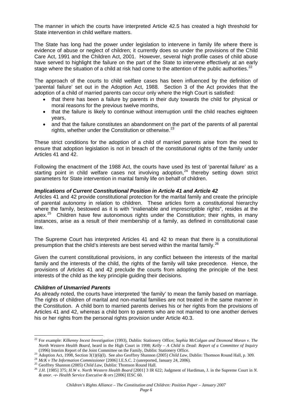The manner in which the courts have interpreted Article 42.5 has created a high threshold for State intervention in child welfare matters.

The State has long had the power under legislation to intervene in family life where there is evidence of abuse or neglect of children; it currently does so under the provisions of the Child Care Act, 1991 and the Children Act, 2001. However, several high profile cases of child abuse have served to highlight the failure on the part of the State to intervene effectively at an early stage where the situation of a child at risk had come to the attention of the public authorities. $2^2$ 

<span id="page-9-5"></span>The approach of the courts to child welfare cases has been influenced by the definition of 'parental failure' set out in the Adoption Act, 1988. Section 3 of the Act provides that the adoption of a child of married parents can occur only where the High Court is satisfied:

- that there has been a failure by parents in their duty towards the child for physical or moral reasons for the previous twelve months,
- that the failure is likely to continue without interruption until the child reaches eighteen years,
- and that the failure constitutes an abandonment on the part of the parents of all parental rights, whether under the Constitution or otherwise.<sup>[23](#page-9-1)</sup>

These strict conditions for the adoption of a child of married parents arise from the need to ensure that adoption legislation is not in breach of the constitutional rights of the family under Articles 41 and 42.

Following the enactment of the 1988 Act, the courts have used its test of 'parental failure' as a starting point in child welfare cases not involving adoption.<sup>[24](#page-9-2)</sup> thereby setting down strict parameters for State intervention in marital family life on behalf of children.

#### *Implications of Current Constitutional Position in Article 41 and Article 42*

Articles 41 and 42 provide constitutional protection for the marital family and create the principle of parental autonomy in relation to children. These articles form a constitutional hierarchy where the family, bestowed as it is with "inalienable and imprescriptible rights", resides at the apex. $25$  Children have few autonomous rights under the Constitution; their rights, in many instances, arise as a result of their membership of a family, as defined in constitutional case law.

The Supreme Court has interpreted Articles 41 and 42 to mean that there is a constitutional presumption that the child's interests are best served within the marital family.<sup>[26](#page-9-4)</sup>

Given the current constitutional provisions, in any conflict between the interests of the marital family and the interests of the child, the rights of the family will take precedence. Hence, the provisions of Articles 41 and 42 preclude the courts from adopting the principle of the best interests of the child as the key principle guiding their decisions.

#### *Children of Unmarried Parents*

 $\overline{a}$ 

As already noted, the courts have interpreted 'the family' to mean the family based on marriage. The rights of children of marital and non-marital families are not treated in the same manner in the Constitution. A child born to married parents derives his or her rights from the provisions of Articles 41 and 42, whereas a child born to parents who are not married to one another derives his or her rights from the personal rights provision under Article 40.3.

<span id="page-9-0"></span><sup>22</sup> For example: *Kilkenny Incest Investigation* (1993), Dublin: Stationery Office; *Sophia McColgan and Desmond Moran v. The North Western Health Board*, heard in the High Court in 1998; *Kelly – A Child is Dead: Report of a Committee of Inquiry*

<span id="page-9-1"></span>

<span id="page-9-2"></span>

<span id="page-9-4"></span><span id="page-9-3"></span>

<sup>(1996)</sup> Interim Report of the Joint Committee on the Family, Dublin: Stationery Office.<br><sup>23</sup> Adoption Act, 1998, Section 3(1)(6)(I). See also Geoffrey Shannon (2005) *Child Law*, Dublin: Thomson Round Hall, p. 309.<br><sup>24</sup> Mc *& anor. -v- Health Service Executive & ors* [2006] IESC 60.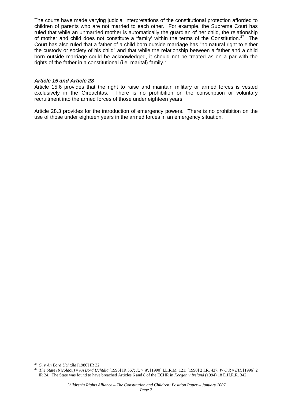The courts have made varying judicial interpretations of the constitutional protection afforded to children of parents who are not married to each other. For example, the Supreme Court has ruled that while an unmarried mother is automatically the guardian of her child, the relationship of mother and child does not constitute a 'family' within the terms of the Constitution.<sup>[27](#page-10-0)</sup> The Court has also ruled that a father of a child born outside marriage has "no natural right to either the custody or society of his child" and that while the relationship between a father and a child born outside marriage could be acknowledged, it should not be treated as on a par with the rights of the father in a constitutional (i.e. marital) family. $^{28}$  $^{28}$  $^{28}$ 

#### *Article 15 and Article 28*

Article 15.6 provides that the right to raise and maintain military or armed forces is vested exclusively in the Oireachtas. There is no prohibition on the conscription or voluntary recruitment into the armed forces of those under eighteen years.

Article 28.3 provides for the introduction of emergency powers. There is no prohibition on the use of those under eighteen years in the armed forces in an emergency situation.

<span id="page-10-0"></span> $^{27}$  G. v An Bord Uchtála [1980] IR 32.

<span id="page-10-1"></span><sup>27</sup>*G. v An Bord Uchtála* [1980] IR 32. 28 *The State (Nicolaou) v An Bord Uchtála* [1996] IR 567; *K. v W*. [1990] I.L.R.M. 121; [1990] 2 I.R. 437; *W O'R v EH*. [1996] 2 IR 24. The State was found to have breached Articles 6 and 8 of the ECHR in *Keegan v Ireland* (1994) 18 E.H.R.R. 342.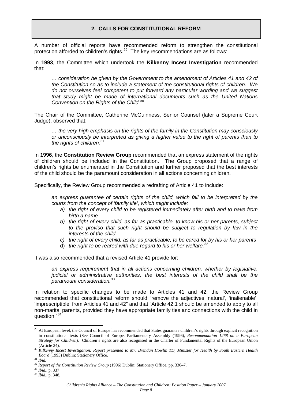#### **2. CALLS FOR CONSTITUTIONAL REFORM**

<span id="page-11-0"></span>A number of official reports have recommended reform to strengthen the constitutional protection afforded to children's rights.<sup>[29](#page-11-1)</sup> The key recommendations are as follows:

In **1993**, the Committee which undertook the **Kilkenny Incest Investigation** recommended that:

*… consideration be given by the Government to the amendment of Articles 41 and 42 of the Constitution so as to include a statement of the constitutional rights of children. We do not ourselves feel competent to put forward any particular wording and we suggest that study might be made of international documents such as the United Nations Convention on the Rights of the Child.*[30](#page-11-2)

The Chair of the Committee, Catherine McGuinness, Senior Counsel (later a Supreme Court Judge), observed that:

*… the very high emphasis on the rights of the family in the Constitution may consciously or unconsciously be interpreted as giving a higher value to the right of parents than to the rights of children.*[31](#page-11-3)

In **1996**, the **Constitution Review Group** recommended that an express statement of the rights of children should be included in the Constitution. The Group proposed that a range of children's rights be enumerated in the Constitution and further proposed that the best interests of the child should be the paramount consideration in all actions concerning children.

Specifically, the Review Group recommended a redrafting of Article 41 to include:

*an express guarantee of certain rights of the child, which fail to be interpreted by the courts from the concept of 'family life', which might include:*

- *a) the right of every child to be registered immediately after birth and to have from birth a name*
- *b) the right of every child, as far as practicable, to know his or her parents, subject to the proviso that such right should be subject to regulation by law in the interests of the child*
- *c) the right of every child, as far as practicable, to be cared for by his or her parents*
- d) *the right to be reared with due regard to his or her welfare.* [32](#page-11-4)

It was also recommended that a revised Article 41 provide for:

*an express requirement that in all actions concerning children, whether by legislative, judicial or administrative authorities, the best interests of the child shall be the paramount consideration.*[33](#page-11-5)

In relation to specific changes to be made to Articles 41 and 42, the Review Group recommended that constitutional reform should "remove the adjectives 'natural', 'inalienable', 'imprescriptible' from Articles 41 and 42" and that "Article 42.1 should be amended to apply to all non-marital parents, provided they have appropriate family ties and connections with the child in question."[34](#page-11-6)

 $\overline{a}$ 

<span id="page-11-1"></span><sup>&</sup>lt;sup>29</sup> At European level, the Council of Europe has recommended that States guarantee children's rights through explicit recognition in constitutional texts (See Council of Europe, Parliamentary Assembly (1996), *Recommendation 1268 on a European Strategy for Children*). Children's rights are also recognised in the Charter of Fundamental Rights of the European Union

<span id="page-11-2"></span><sup>&</sup>lt;sup>30</sup> *Kilkenny Incest Investigation: Report presented to Mr. Brendan Howlin TD, Minister for Health by South Eastern Health* 

<span id="page-11-3"></span>

*Board* (1993) Dublin: Stationery Office. 31 *Ibid.* <sup>32</sup> *Report of the Constitution Review Group* (1996) Dublin: Stationery Office, pp. 336–7. 33 *Ibid.,* p. 337 34 *Ibid.,* p. 348.

<span id="page-11-5"></span><span id="page-11-4"></span>

<span id="page-11-6"></span>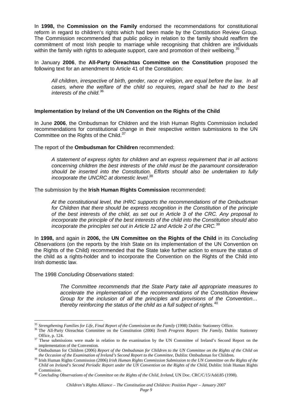In **1998,** the **Commission on the Family** endorsed the recommendations for constitutional reform in regard to children's rights which had been made by the Constitution Review Group. The Commission recommended that public policy in relation to the family should reaffirm the commitment of most Irish people to marriage while recognising that children are individuals within the family with rights to adequate support, care and promotion of their wellbeing.<sup>[35](#page-12-0)</sup>

In January **2006**, the **All-Party Oireachtas Committee on the Constitution** proposed the following text for an amendment to Article 41 of the Constitution:

*All children, irrespective of birth, gender, race or religion, are equal before the law. In all cases, where the welfare of the child so requires, regard shall be had to the best interests of the child.*[36](#page-12-1)

#### **Implementation by Ireland of the UN Convention on the Rights of the Child**

In June **2006**, the Ombudsman for Children and the Irish Human Rights Commission included recommendations for constitutional change in their respective written submissions to the UN Committee on the Rights of the Child.<sup>[37](#page-12-2)</sup>

The report of the **Ombudsman for Children** recommended:

*A statement of express rights for children and an express requirement that in all actions concerning children the best interests of the child must be the paramount consideration should be inserted into the Constitution. Efforts should also be undertaken to fully incorporate the UNCRC at domestic level*. [38](#page-12-3)

The submission by the **Irish Human Rights Commission** recommended:

*At the constitutional level, the IHRC supports the recommendations of the Ombudsman for Children that there should be express recognition in the Constitution of the principle of the best interests of the child, as set out in Article 3 of the CRC. Any proposal to incorporate the principle of the best interests of the child into the Constitution should also incorporate the principles set out in Article 12 and Article 2 of the CRC.*[39](#page-12-4)

In **1998,** and again in **2006,** the **UN Committee on the Rights of the Child** in its *Concluding Observations* (on the reports by the Irish State on its implementation of the UN Convention on the Rights of the Child) recommended that the State take further action to ensure the status of the child as a rights-holder and to incorporate the Convention on the Rights of the Child into Irish domestic law.

The 1998 *Concluding Observations* stated:

*The Committee recommends that the State Party take all appropriate measures to accelerate the implementation of the recommendations of the Constitution Review Group for the inclusion of all the principles and provisions of the Convention… thereby reinforcing the status of the child as a full subject of rights.*[40](#page-12-5)

<span id="page-12-0"></span><sup>&</sup>lt;sup>35</sup> Strengthening Families for Life, Final Report of the Commission on the Family (1998) Dublin: Stationery Office.

<sup>&</sup>lt;sup>36</sup> The All-Party Oireachtas Committee on the Constitution (2006) Tenth Progress Report: The Family, Dublin: Stationery

<span id="page-12-2"></span><span id="page-12-1"></span>Office, p. 124.<br><sup>37</sup> These submissions were made in relation to the examination by the UN Committee of Ireland's Second Report on the

implementation of the Convention. 38 Ombudsman for Children (2006) *Report of the Ombudsman for Children to the UN Committee on the Rights of the Child on* 

<span id="page-12-4"></span><span id="page-12-3"></span>the Occasion of the Examination of Ireland's Second Report to the Committee, Dublin: Ombudsman for Children.<br><sup>39</sup> Irish Human Rights Commission (2006) *Irish Human Rights Commission Submission to the UN Committee on the R Child on Ireland's Second Periodic Report under the UN Convention on the Rights of the Child,* Dublin: Irish Human Rights Commission. 40 *Concluding Observations of the Committee on the Rights of the Child, Ireland*, UN Doc. CRC/C/15/Add.85 (1998).

<span id="page-12-5"></span>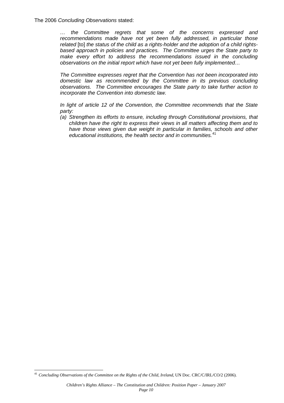The 2006 *Concluding Observations* stated:

*… the Committee regrets that some of the concerns expressed and recommendations made have not yet been fully addressed, in particular those*  related [to] the status of the child as a rights-holder and the adoption of a child rights*based approach in policies and practices. The Committee urges the State party to*  make every effort to address the recommendations issued in the concluding *observations on the initial report which have not yet been fully implemented…* 

*The Committee expresses regret that the Convention has not been incorporated into domestic law as recommended by the Committee in its previous concluding observations. The Committee encourages the State party to take further action to incorporate the Convention into domestic law.* 

*In light of article 12 of the Convention, the Committee recommends that the State party:* 

*(a) Strengthen its efforts to ensure, including through Constitutional provisions, that children have the right to express their views in all matters affecting them and to*  have those views given due weight in particular in families, schools and other *educational institutions, the health sector and in communities.*[41](#page-13-0)

<span id="page-13-0"></span> $\overline{a}$ <sup>41</sup> *Concluding Observations of the Committee on the Rights of the Child, Ireland*, UN Doc. CRC/C/IRL/CO/2 (2006).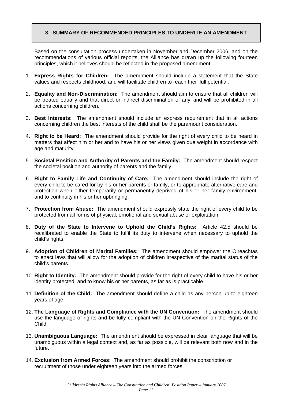#### <span id="page-14-0"></span>**3. SUMMARY OF RECOMMENDED PRINCIPLES TO UNDERLIE AN AMENDMENT**

Based on the consultation process undertaken in November and December 2006, and on the recommendations of various official reports, the Alliance has drawn up the following fourteen principles, which it believes should be reflected in the proposed amendment.

- 1. **Express Rights for Children:** The amendment should include a statement that the State values and respects childhood, and will facilitate children to reach their full potential.
- 2. **Equality and Non-Discrimination:** The amendment should aim to ensure that all children will be treated equally and that direct or indirect discrimination of any kind will be prohibited in all actions concerning children.
- 3. **Best Interests:** The amendment should include an express requirement that in all actions concerning children the best interests of the child shall be the paramount consideration.
- 4. **Right to be Heard:** The amendment should provide for the right of every child to be heard in matters that affect him or her and to have his or her views given due weight in accordance with age and maturity.
- 5. **Societal Position and Authority of Parents and the Family:** The amendment should respect the societal position and authority of parents and the family.
- 6. **Right to Family Life and Continuity of Care:** The amendment should include the right of every child to be cared for by his or her parents or family, or to appropriate alternative care and protection when either temporarily or permanently deprived of his or her family environment, and to continuity in his or her upbringing.
- 7. **Protection from Abuse:** The amendment should expressly state the right of every child to be protected from all forms of physical, emotional and sexual abuse or exploitation.
- 8. **Duty of the State to Intervene to Uphold the Child's Rights:** Article 42.5 should be recalibrated to enable the State to fulfil its duty to intervene when necessary to uphold the child's rights.
- 9. **Adoption of Children of Marital Families:** The amendment should empower the Oireachtas to enact laws that will allow for the adoption of children irrespective of the marital status of the child's parents.
- 10. **Right to Identity:** The amendment should provide for the right of every child to have his or her identity protected, and to know his or her parents, as far as is practicable.
- 11. **Definition of the Child:** The amendment should define a child as any person up to eighteen years of age.
- 12. **The Language of Rights and Compliance with the UN Convention:** The amendment should use the language of rights and be fully compliant with the UN Convention on the Rights of the Child.
- 13. **Unambiguous Language:** The amendment should be expressed in clear language that will be unambiguous within a legal context and, as far as possible, will be relevant both now and in the future.
- 14. **Exclusion from Armed Forces:** The amendment should prohibit the conscription or recruitment of those under eighteen years into the armed forces.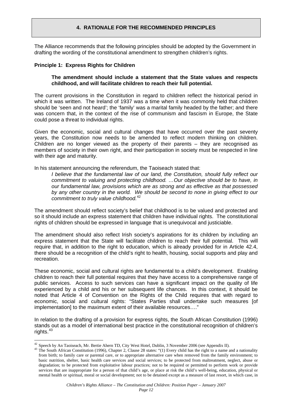#### **4. RATIONALE FOR THE RECOMMENDED PRINCIPLES**

<span id="page-15-0"></span>The Alliance recommends that the following principles should be adopted by the Government in drafting the wording of the constitutional amendment to strengthen children's rights.

#### **Principle 1: Express Rights for Children**

#### **The amendment should include a statement that the State values and respects childhood, and will facilitate children to reach their full potential.**

The current provisions in the Constitution in regard to children reflect the historical period in which it was written. The Ireland of 1937 was a time when it was commonly held that children should be 'seen and not heard'; the 'family' was a marital family headed by the father; and there was concern that, in the context of the rise of communism and fascism in Europe, the State could pose a threat to individual rights.

Given the economic, social and cultural changes that have occurred over the past seventy years, the Constitution now needs to be amended to reflect modern thinking on children. Children are no longer viewed as the property of their parents – they are recognised as members of society in their own right, and their participation in society must be respected in line with their age and maturity.

In his statement announcing the referendum, the Taoiseach stated that:

*I believe that the fundamental law of our land, the Constitution, should fully reflect our commitment to valuing and protecting childhood. …Our objective should be to have, in our fundamental law, provisions which are as strong and as effective as that possessed by any other country in the world. We should be second to none in giving effect to our commitment to truly value childhood.*[42](#page-15-1)

The amendment should reflect society's belief that childhood is to be valued and protected and so it should include an express statement that children have individual rights. The constitutional rights of children should be expressed in language that is unequivocal and justiciable.

The amendment should also reflect Irish society's aspirations for its children by including an express statement that the State will facilitate children to reach their full potential. This will require that, in addition to the right to education, which is already provided for in Article 42.4, there should be a recognition of the child's right to health, housing, social supports and play and recreation.

These economic, social and cultural rights are fundamental to a child's development. Enabling children to reach their full potential requires that they have access to a comprehensive range of public services. Access to such services can have a significant impact on the quality of life experienced by a child and his or her subsequent life chances. In this context, it should be noted that Article 4 of Convention on the Rights of the Child requires that with regard to economic, social and cultural rights: "States Parties shall undertake such measures [of implementation] to the maximum extent of their available resources…."

In relation to the drafting of a provision for express rights, the South African Constitution (1996) stands out as a model of international best practice in the constitutional recognition of children's rights.<sup>[43](#page-15-2)</sup>

<span id="page-15-1"></span><sup>&</sup>lt;sup>42</sup> Speech by An Taoiseach, Mr. Bertie Ahern TD, City West Hotel, Dublin, 3 November 2006 (see Appendix II).

<span id="page-15-2"></span><sup>&</sup>lt;sup>43</sup> The South African Constitution (1996), Chapter 2, Clause 28 states: "(1) Every child has the right to a name and a nationality from birth; to family care or parental care, or to appropriate alternative care when removed from the family environment; to basic nutrition, shelter, basic health care services and social services; to be protected from maltreatment, neglect, abuse or degradation; to be protected from exploitative labour practices; not to be required or permitted to perform work or provide services that are inappropriate for a person of that child's age, or place at risk the child's well-being, education, physical or mental health or spiritual, moral or social development; not to be detained except as a measure of last resort, in which case, in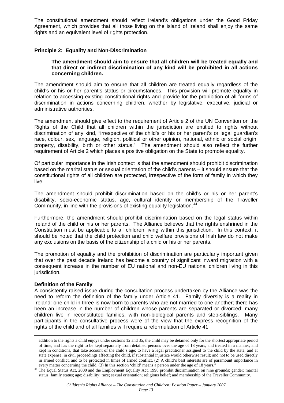The constitutional amendment should reflect Ireland's obligations under the Good Friday Agreement, which provides that all those living on the island of Ireland shall enjoy the same rights and an equivalent level of rights protection.

#### **Principle 2: Equality and Non-Discrimination**

#### **The amendment should aim to ensure that all children will be treated equally and that direct or indirect discrimination of any kind will be prohibited in all actions concerning children.**

The amendment should aim to ensure that all children are treated equally regardless of the child's or his or her parent's status or circumstances. This provision will promote equality in relation to accessing existing constitutional rights and provide for the prohibition of all forms of discrimination in actions concerning children, whether by legislative, executive, judicial or administrative authorities.

The amendment should give effect to the requirement of Article 2 of the UN Convention on the Rights of the Child that all children within the jurisdiction are entitled to rights without discrimination of any kind, "irrespective of the child's or his or her parent's or legal guardian's race, colour, sex, language, religion, political or other opinion, national, ethnic or social origin, property, disability, birth or other status." The amendment should also reflect the further requirement of Article 2 which places a positive obligation on the State to promote equality.

Of particular importance in the Irish context is that the amendment should prohibit discrimination based on the marital status or sexual orientation of the child's parents – it should ensure that the constitutional rights of all children are protected, irrespective of the form of family in which they live.

The amendment should prohibit discrimination based on the child's or his or her parent's disability, socio-economic status, age, cultural identity or membership of the Traveller Community, in line with the provisions of existing equality legislation.<sup>[44](#page-16-0)</sup>

Furthermore, the amendment should prohibit discrimination based on the legal status within Ireland of the child or his or her parents. The Alliance believes that the rights enshrined in the Constitution must be applicable to all children living within this jurisdiction. In this context, it should be noted that the child protection and child welfare provisions of Irish law do not make any exclusions on the basis of the citizenship of a child or his or her parents.

The promotion of equality and the prohibition of discrimination are particularly important given that over the past decade Ireland has become a country of significant inward migration with a consequent increase in the number of EU national and non-EU national children living in this jurisdiction.

#### **Definition of the Family**

 $\overline{a}$ 

A consistently raised issue during the consultation process undertaken by the Alliance was the need to reform the definition of the family under Article 41. Family diversity is a reality in Ireland: one child in three is now born to parents who are not married to one another; there has been an increase in the number of children whose parents are separated or divorced; many children live in reconstituted families, with non-biological parents and step-siblings. Many participants in the consultative process were of the view that the express recognition of the rights of the child and of all families will require a reformulation of Article 41.

addition to the rights a child enjoys under sections 12 and 35, the child may be detained only for the shortest appropriate period of time, and has the right to be kept separately from detained persons over the age of 18 years, and treated in a manner, and kept in conditions, that take account of the child's age; to have a legal practitioner assigned to the child by the state, and at state expense, in civil proceedings affecting the child, if substantial injustice would otherwise result; and not to be used directly in armed conflict, and to be protected in times of armed conflict. (2) A child's best interests are of paramount importance in

<span id="page-16-0"></span>every matter concerning the child. (3) In this section 'child' means a person under the age of 18 years."<br><sup>44</sup> The Equal Status Act, 2000 and the Employment Equality Act, 1998 prohibit discrimination on nine grounds: gende status; family status; age; disability; race; sexual orientation; religious belief; and membership of the Traveller Community.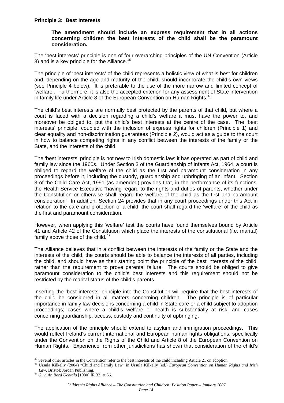#### **Principle 3: Best Interests**

#### **The amendment should include an express requirement that in all actions concerning children the best interests of the child shall be the paramount consideration.**

The 'best interests' principle is one of four overarching principles of the UN Convention (Article 3) and is a key principle for the Alliance.<sup>[45](#page-17-0)</sup>

The principle of 'best interests' of the child represents a holistic view of what is best for children and, depending on the age and maturity of the child, should incorporate the child's own views (see Principle 4 below). It is preferable to the use of the more narrow and limited concept of 'welfare'. Furthermore, it is also the accepted criterion for any assessment of State intervention in family life under Article 8 of the European Convention on Human Rights. $46$ 

The child's best interests are normally best protected by the parents of that child, but where a court is faced with a decision regarding a child's welfare it must have the power to, and moreover be obliged to, put the child's best interests at the centre of the case. The 'best interests' principle, coupled with the inclusion of express rights for children (Principle 1) and clear equality and non-discrimination guarantees (Principle 2), would act as a guide to the court in how to balance competing rights in any conflict between the interests of the family or the State, and the interests of the child.

The 'best interests' principle is not new to Irish domestic law: it has operated as part of child and family law since the 1960s. Under Section 3 of the Guardianship of Infants Act, 1964, a court is obliged to regard the welfare of the child as the first and paramount consideration in any proceedings before it, including the custody, guardianship and upbringing of an infant. Section 3 of the Child Care Act, 1991 (as amended) provides that, in the performance of its functions, the Health Service Executive "having regard to the rights and duties of parents, whether under the Constitution or otherwise shall regard the welfare of the child as the first and paramount consideration". In addition, Section 24 provides that in any court proceedings under this Act in relation to the care and protection of a child, the court shall regard the 'welfare' of the child as the first and paramount consideration.

However, when applying this 'welfare' test the courts have found themselves bound by Article 41 and Article 42 of the Constitution which place the interests of the constitutional (i.e. marital) family above those of the child. $47$ 

The Alliance believes that in a conflict between the interests of the family or the State and the interests of the child, the courts should be able to balance the interests of all parties, including the child, and should have as their starting point the principle of the best interests of the child, rather than the requirement to prove parental failure. The courts should be obliged to give paramount consideration to the child's best interests and this requirement should not be restricted by the marital status of the child's parents.

Inserting the 'best interests' principle into the Constitution will require that the best interests of the child be considered in all matters concerning children. The principle is of particular importance in family law decisions concerning a child in State care or a child subject to adoption proceedings; cases where a child's welfare or health is substantially at risk; and cases concerning guardianship, access, custody and continuity of upbringing.

The application of the principle should extend to asylum and immigration proceedings. This would reflect Ireland's current international and European human rights obligations, specifically under the Convention on the Rights of the Child and Article 8 of the European Convention on Human Rights. Experience from other jurisdictions has shown that consideration of the child's

<span id="page-17-0"></span><sup>&</sup>lt;sup>45</sup> Several other articles in the Convention refer to the best interests of the child including Article 21 on adoption.

<span id="page-17-1"></span><sup>&</sup>lt;sup>46</sup> Ursula Kilkelly (2004) "Child and Family Law" in Ursula Kilkelly (ed.) *European Convention on Human Rights and Irish*<br>Law, Bristol: Jordan Publishing.

<span id="page-17-2"></span><sup>&</sup>lt;sup>47</sup> *G. v. An Bord Uchtála* [1980] IR 32, at 56.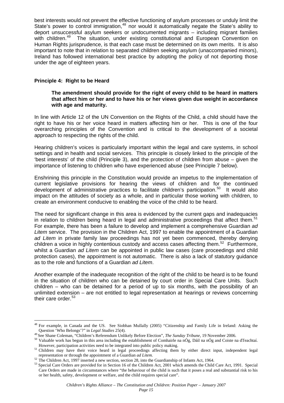best interests would not prevent the effective functioning of asylum processes or unduly limit the State's power to control immigration,<sup>[48](#page-18-0)</sup> nor would it automatically negate the State's ability to deport unsuccessful asylum seekers or undocumented migrants – including migrant families with children.<sup>[49](#page-18-1)</sup> The situation, under existing constitutional and European Convention on Human Rights jurisprudence, is that each case must be determined on its own merits. It is also important to note that in relation to separated children seeking asylum (unaccompanied minors), Ireland has followed international best practice by adopting the policy of not deporting those under the age of eighteen years.

#### **Principle 4: Right to be Heard**

#### **The amendment should provide for the right of every child to be heard in matters that affect him or her and to have his or her views given due weight in accordance with age and maturity.**

In line with Article 12 of the UN Convention on the Rights of the Child, a child should have the right to have his or her voice heard in matters affecting him or her. This is one of the four overarching principles of the Convention and is critical to the development of a societal approach to respecting the rights of the child.

Hearing children's voices is particularly important within the legal and care systems, in school settings and in health and social services. This principle is closely linked to the principle of the 'best interests' of the child (Principle 3), and the protection of children from abuse – given the importance of listening to children who have experienced abuse (see Principle 7 below).

Enshrining this principle in the Constitution would provide an impetus to the implementation of current legislative provisions for hearing the views of children and for the continued development of administrative practices to facilitate children's participation.<sup>[50](#page-18-2)</sup> It would also impact on the attitudes of society as a whole, and in particular those working with children, to create an environment conducive to enabling the voice of the child to be heard.

The need for significant change in this area is evidenced by the current gaps and inadequacies in relation to children being heard in legal and administrative proceedings that affect them.<sup>51</sup> For example, there has been a failure to develop and implement a comprehensive Guardian *ad Litem* service. The provision in the Children Act, 1997 to enable the appointment of a Guardian *ad Litem* in private family law proceedings has not yet been commenced, thereby denying children a voice in highly contentious custody and access cases affecting them.<sup>[52](#page-18-4)</sup> Furthermore, whilst a Guardian *ad Litem* can be appointed in public law cases (care proceedings and child protection cases), the appointment is not automatic. There is also a lack of statutory guidance as to the role and functions of a Guardian *ad Litem*.

Another example of the inadequate recognition of the right of the child to be heard is to be found in the situation of children who can be detained by court order in Special Care Units. Such children – who can be detained for a period of up to six months, with the possibility of an unlimited extension – are not entitled to legal representation at hearings or reviews concerning their care order.<sup>[53](#page-18-5)</sup>

 $\overline{a}$  $48$  For example, in Canada and the US. See Siobhan Mullally (2005) "Citizenship and Family Life in Ireland: Asking the

<span id="page-18-1"></span><span id="page-18-0"></span>Question 'Who Belongs'?" in *Legal Studies* 25(4).<br><sup>49</sup> See Shane Coleman, "Children's Referendum Unlikely Before Election", *The Sunday Tribune*, 19 November 2006.<br><sup>50</sup> Valuable work has begun in this area including the

<span id="page-18-3"></span><span id="page-18-2"></span>However, participation activities need to be integrated into public policy making.<br>
<sup>51</sup> Children may have their voice heard in legal proceedings affecting them by either direct input, independent legal representation or

<span id="page-18-5"></span><span id="page-18-4"></span><sup>&</sup>lt;sup>52</sup> The Children Act, 1997 inserted a new section, section 28, into the Guardianship of Infants Act, 1964.<br><sup>53</sup> Special Care Orders are provided for in Section 16 of the Children Act, 2001 which amends the Child Care Act, Care Orders are made in circumstances where "the behaviour of the child is such that it poses a real and substantial risk to his or her health, safety, development or welfare, and the child requires special care".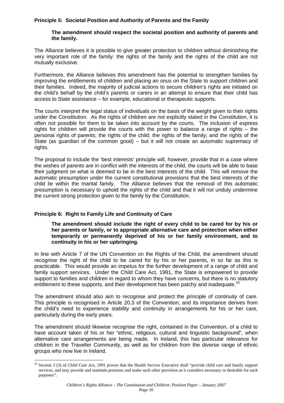#### **Principle 5: Societal Position and Authority of Parents and the Family**

#### **The amendment should respect the societal position and authority of parents and the family.**

The Alliance believes it is possible to give greater protection to children without diminishing the very important role of the family: the rights of the family and the rights of the child are not mutually exclusive.

Furthermore, the Alliance believes this amendment has the potential to strengthen families by improving the entitlements of children and placing an onus on the State to support children and their families. Indeed, the majority of judicial actions to secure children's rights are initiated on the child's behalf by the child's parents or carers in an attempt to ensure that their child has access to State assistance – for example, educational or therapeutic supports.

The courts interpret the legal status of individuals on the basis of the weight given to their rights under the Constitution. As the rights of children are not explicitly stated in the Constitution, it is often not possible for them to be taken into account by the courts. The inclusion of express rights for children will provide the courts with the power to balance a range of rights – the personal rights of parents; the rights of the child; the rights of the family; and the rights of the State (as guardian of the common good) – but it will not create an automatic supremacy of rights.

The proposal to include the 'best interests' principle will, however, provide that in a case where the wishes of parents are in conflict with the interests of the child, the courts will be able to base their judgment on what is deemed to be in the best interests of the child. This will remove the automatic presumption under the current constitutional provisions that the best interests of the child lie within the marital family. The Alliance believes that the removal of this automatic presumption is necessary to uphold the rights of the child and that it will not unduly undermine the current strong protection given to the family by the Constitution.

#### **Principle 6: Right to Family Life and Continuity of Care**

 $\overline{a}$ 

#### **The amendment should include the right of every child to be cared for by his or her parents or family, or to appropriate alternative care and protection when either temporarily or permanently deprived of his or her family environment, and to continuity in his or her upbringing.**

In line with Article 7 of the UN Convention on the Rights of the Child, the amendment should recognise the right of the child to be cared for by his or her parents, in so far as this is practicable. This would provide an impetus for the further development of a range of child and family support services. Under the Child Care Act, 1991, the State is empowered to provide support to families and children in regard to whom they have concerns, but there is no statutory entitlement to these supports, and their development has been patchy and inadequate.<sup>[54](#page-19-0)</sup>

The amendment should also aim to recognise and protect the principle of continuity of care. This principle is recognised in Article 20.3 of the Convention, and its importance derives from the child's need to experience stability and continuity in arrangements for his or her care, particularly during the early years.

The amendment should likewise recognise the right, contained in the Convention, of a child to have account taken of his or her "ethnic, religious, cultural and linguistic background", when alternative care arrangements are being made. In Ireland, this has particular relevance for children in the Traveller Community, as well as for children from the diverse range of ethnic groups who now live in Ireland.

<span id="page-19-0"></span><sup>54</sup> Section 3 (3) of Child Care Act, 1991 proves that the Health Service Executive shall "provide child care and family support services, and may provide and maintain premises and make such other provision as it considers necessary or desirable for such purposes".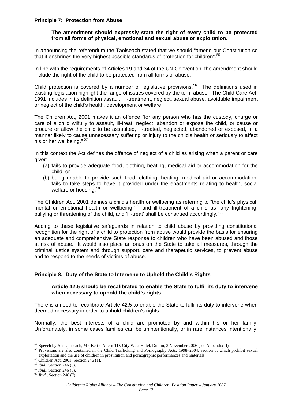#### **Principle 7: Protection from Abuse**

#### **The amendment should expressly state the right of every child to be protected from all forms of physical, emotional and sexual abuse or exploitation.**

In announcing the referendum the Taoiseach stated that we should "amend our Constitution so that it enshrines the very highest possible standards of protection for children".<sup>[55](#page-20-0)</sup>

In line with the requirements of Articles 19 and 34 of the UN Convention, the amendment should include the right of the child to be protected from all forms of abuse.

Child protection is covered by a number of legislative provisions.<sup>[56](#page-20-1)</sup> The definitions used in existing legislation highlight the range of issues covered by the term abuse. The Child Care Act, 1991 includes in its definition assault, ill-treatment, neglect, sexual abuse, avoidable impairment or neglect of the child's health, development or welfare.

The Children Act, 2001 makes it an offence "for any person who has the custody, charge or care of a child wilfully to assault, ill-treat, neglect, abandon or expose the child, or cause or procure or allow the child to be assaulted, ill-treated, neglected, abandoned or exposed, in a manner likely to cause unnecessary suffering or injury to the child's health or seriously to affect his or her wellbeing." [57](#page-20-2)

In this context the Act defines the offence of neglect of a child as arising when a parent or care giver:

- (a) fails to provide adequate food, clothing, heating, medical aid or accommodation for the child, or
- (b) being unable to provide such food, clothing, heating, medical aid or accommodation, fails to take steps to have it provided under the enactments relating to health, social welfare or housing.<sup>[58](#page-20-3)</sup>

The Children Act, 2001 defines a child's health or wellbeing as referring to "the child's physical, mental or emotional health or wellbeing;<sup>"[59](#page-20-4)</sup> and ill-treatment of a child as "any frightening, bullying or threatening of the child, and 'ill-treat' shall be construed accordingly."<sup>[60](#page-20-5)</sup>

Adding to these legislative safeguards in relation to child abuse by providing constitutional recognition for the right of a child to protection from abuse would provide the basis for ensuring an adequate and comprehensive State response to children who have been abused and those at risk of abuse. It would also place an onus on the State to take all measures, through the criminal justice system and through support, care and therapeutic services, to prevent abuse and to respond to the needs of victims of abuse.

#### **Principle 8: Duty of the State to Intervene to Uphold the Child's Rights**

#### **Article 42.5 should be recalibrated to enable the State to fulfil its duty to intervene when necessary to uphold the child's rights.**

There is a need to recalibrate Article 42.5 to enable the State to fulfil its duty to intervene when deemed necessary in order to uphold children's rights.

Normally, the best interests of a child are promoted by and within his or her family. Unfortunately, in some cases families can be unintentionally, or in rare instances intentionally,

<span id="page-20-0"></span><sup>&</sup>lt;sup>55</sup> Speech by An Taoiseach, Mr. Bertie Ahern TD, City West Hotel, Dublin, 3 November 2006 (see Appendix II).

<span id="page-20-1"></span><sup>&</sup>lt;sup>56</sup> Provisions are also contained in the Child Trafficking and Pornography Acts, 1998–2004, section 3, which prohibit sexual exploitation and the use of children in prostitution and pornographic performances and materials.  $57$  Children Act, 2001, Section 246 (1).  $58$  *Ibid.*, Section 246 (5).

<span id="page-20-2"></span>

<span id="page-20-4"></span><span id="page-20-3"></span><sup>58</sup> *Ibid.,* Section 246 (5). 59 *Ibid.,* Section 246 (6). 60 *Ibid.,* Section 246 (7).

<span id="page-20-5"></span>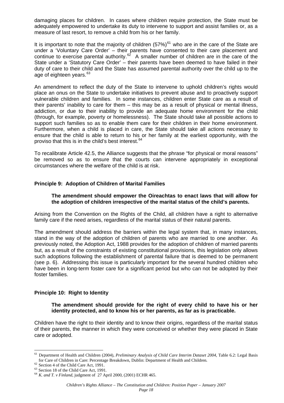damaging places for children. In cases where children require protection, the State must be adequately empowered to undertake its duty to intervene to support and assist families or, as a measure of last resort, to remove a child from his or her family.

It is important to note that the majority of children  $(57%)^{61}$  $(57%)^{61}$  $(57%)^{61}$  who are in the care of the State are under a 'Voluntary Care Order' – their parents have consented to their care placement and continue to exercise parental authority.[62](#page-21-1) A smaller number of children are in the care of the State under a 'Statutory Care Order' – their parents have been deemed to have failed in their duty of care to their child and the State has assumed parental authority over the child up to the age of eighteen years.<sup>[63](#page-21-2)</sup>

An amendment to reflect the duty of the State to intervene to uphold children's rights would place an onus on the State to undertake initiatives to prevent abuse and to proactively support vulnerable children and families. In some instances, children enter State care as a result of their parents' inability to care for them – this may be as a result of physical or mental illness, addiction, or due to their inability to provide an adequate home environment for the child (through, for example, poverty or homelessness). The State should take all possible actions to support such families so as to enable them care for their children in their home environment. Furthermore, when a child is placed in care, the State should take all actions necessary to ensure that the child is able to return to his or her family at the earliest opportunity, with the proviso that this is in the child's best interest.<sup>[64](#page-21-3)</sup>

To recalibrate Article 42.5, the Alliance suggests that the phrase "for physical or moral reasons" be removed so as to ensure that the courts can intervene appropriately in exceptional circumstances where the welfare of the child is at risk.

#### **Principle 9: Adoption of Children of Marital Families**

#### **The amendment should empower the Oireachtas to enact laws that will allow for the adoption of children irrespective of the marital status of the child's parents.**

Arising from the Convention on the Rights of the Child, all children have a right to alternative family care if the need arises, regardless of the marital status of their natural parents.

The amendment should address the barriers within the legal system that, in many instances, stand in the way of the adoption of children of parents who are married to one another. As previously noted, the Adoption Act, 1988 provides for the adoption of children of married parents but, as a result of the constraints of existing constitutional provisions, this legislation only allows such adoptions following the establishment of parental failure that is deemed to be permanent (see p. [6](#page-9-5)). Addressing this issue is particularly important for the several hundred children who have been in long-term foster care for a significant period but who can not be adopted by their foster families.

#### **Principle 10: Right to Identity**

#### **The amendment should provide for the right of every child to have his or her identity protected, and to know his or her parents, as far as is practicable.**

Children have the right to their identity and to know their origins, regardless of the marital status of their parents, the manner in which they were conceived or whether they were placed in State care or adopted.

<span id="page-21-0"></span> $\overline{a}$ <sup>61</sup> Department of Health and Children (2004), *Preliminary Analysis of Child Care Interim Dataset 2004*, Table 6.2: Legal Basis for Care of Children in Care: Percentage Breakdown, Dublin: Department of Health and Children.<br>
<sup>62</sup> Section 4 of the Child Care Act, 1991.<br>
<sup>63</sup> Section 18 of the Child Care Act, 1991.<br>
<sup>64</sup> K. and T. *v Finland*, iudgme

<span id="page-21-2"></span><span id="page-21-1"></span>

<span id="page-21-3"></span>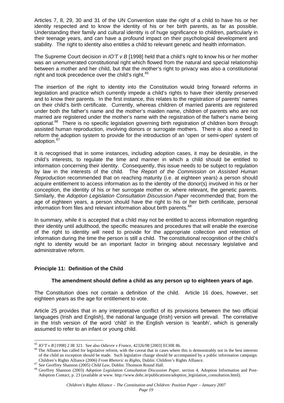Articles 7, 8, 29, 30 and 31 of the UN Convention state the right of a child to have his or her identity respected and to know the identity of his or her birth parents, as far as possible. Understanding their family and cultural identity is of huge significance to children, particularly in their teenage years, and can have a profound impact on their psychological development and stability. The right to identity also entitles a child to relevant genetic and health information.

The Supreme Court decision in *IO'T v B* [1998] held that a child's right to know his or her mother was an unenumerated constitutional right which flowed from the natural and special relationship between a mother and her child, but that the mother's right to privacy was also a constitutional right and took precedence over the child's right.<sup>[65](#page-22-0)</sup>

The insertion of the right to identity into the Constitution would bring forward reforms in legislation and practice which currently impede a child's rights to have their identity preserved and to know their parents. In the first instance, this relates to the registration of parents' names on their child's birth certificate. Currently, whereas children of married parents are registered under both the father's name and the mother's maiden name, children of parents who are not married are registered under the mother's name with the registration of the father's name being optional.<sup>[66](#page-22-1)</sup> There is no specific legislation governing birth registration of children born through assisted human reproduction, involving donors or surrogate mothers. There is also a need to reform the adoption system to provide for the introduction of an 'open or semi-open' system of adoption.<sup>[67](#page-22-2)</sup>

It is recognised that in some instances, including adoption cases, it may be desirable, in the child's interests, to regulate the time and manner in which a child should be entitled to information concerning their identity. Consequently, this issue needs to be subject to regulation by law in the interests of the child. The *Report of the Commission on Assisted Human Reproduction* recommended that on reaching maturity (i.e. at eighteen years) a person should acquire entitlement to access information as to the identity of the donor(s) involved in his or her conception, the identity of his or her surrogate mother or, where relevant, the genetic parents. Similarly, the *Adoption Legislation Consultation Discussion Paper* recommended that, from the age of eighteen years, a person should have the right to his or her birth certificate, personal information from files and relevant information about birth parents.<sup>[68](#page-22-3)</sup>

In summary, while it is accepted that a child may not be entitled to access information regarding their identity until adulthood, the specific measures and procedures that will enable the exercise of the right to identity will need to provide for the appropriate collection and retention of information during the time the person is still a child. The constitutional recognition of the child's right to identity would be an important factor in bringing about necessary legislative and administrative reform.

#### **Principle 11: Definition of the Child**

#### **The amendment should define a child as any person up to eighteen years of age.**

The Constitution does not contain a definition of the child. Article 16 does, however, set eighteen years as the age for entitlement to vote.

Article 25 provides that in any interpretative conflict of its provisions between the two official languages (Irish and English), the national language (Irish) version will prevail. The correlative in the Irish version of the word 'child' in the English version is 'leanbh', which is generally assumed to refer to an infant or young child.

 $\overline{a}$ 

<span id="page-22-1"></span><span id="page-22-0"></span> $^{65}$  *IO'T v B* [1998] 2 IR 321. See also *Odievre v France*, 42326/98 [2003] ECHR 86.<br><sup>66</sup> The Alliance has called for legislative reform, with the caveat that in cases where this is demonstrably not in the best intere of the child an exception should be made. Such legislative change should be accompanied by a public information campaign. Children's Rights Alliance.

<span id="page-22-3"></span><span id="page-22-2"></span><sup>&</sup>lt;sup>67</sup> See Geoffrey Shannon (2005) *Child Law*, Dublin: Thomson Round Hall.<br><sup>67</sup> See Geoffrey Shannon (2005) *Child Law*, Dublin: Thomson Round Hall.<br><sup>68</sup> Geoffrey Shannon (2003) *Adoption Legislation Consultation Discussion* Adoption Contact, p. 23 (available at www. http://www.dohc.ie/publications/adoption\_legislation\_consultation.html).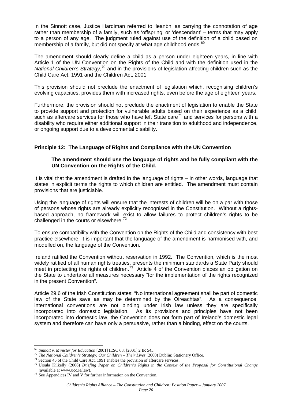In the Sinnott case, Justice Hardiman referred to 'leanbh' as carrying the connotation of age rather than membership of a family, such as 'offspring' or 'descendant' – terms that may apply to a person of any age. The judgment ruled against use of the definition of a child based on membership of a family, but did not specify at what age childhood ends.<sup>[69](#page-23-0)</sup>

The amendment should clearly define a child as a person under eighteen years, in line with Article 1 of the UN Convention on the Rights of the Child and with the definition used in the National Children's Strategy,<sup>[70](#page-23-1)</sup> and in the provisions of legislation affecting children such as the Child Care Act, 1991 and the Children Act, 2001.

This provision should not preclude the enactment of legislation which, recognising children's evolving capacities, provides them with increased rights, even before the age of eighteen years.

Furthermore, the provision should not preclude the enactment of legislation to enable the State to provide support and protection for vulnerable adults based on their experience as a child, such as aftercare services for those who have left State care<sup> $71$ </sup> and services for persons with a disability who require either additional support in their transition to adulthood and independence, or ongoing support due to a developmental disability.

#### **Principle 12: The Language of Rights and Compliance with the UN Convention**

#### **The amendment should use the language of rights and be fully compliant with the UN Convention on the Rights of the Child.**

It is vital that the amendment is drafted in the language of rights – in other words, language that states in explicit terms the rights to which children are entitled. The amendment must contain provisions that are justiciable.

Using the language of rights will ensure that the interests of children will be on a par with those of persons whose rights are already explicitly recognised in the Constitution. Without a rightsbased approach, no framework will exist to allow failures to protect children's rights to be challenged in the courts or elsewhere.<sup>[72](#page-23-3)</sup>

To ensure compatibility with the Convention on the Rights of the Child and consistency with best practice elsewhere, it is important that the language of the amendment is harmonised with, and modelled on, the language of the Convention.

Ireland ratified the Convention without reservation in 1992. The Convention, which is the most widely ratified of all human rights treaties, presents the minimum standards a State Party should meet in protecting the rights of children.<sup>[73](#page-23-4)</sup> Article 4 of the Convention places an obligation on the State to undertake all measures necessary "for the implementation of the rights recognized in the present Convention".

Article 29.6 of the Irish Constitution states: "No international agreement shall be part of domestic law of the State save as may be determined by the Oireachtas". As a consequence, international conventions are not binding under Irish law unless they are specifically incorporated into domestic legislation. As its provisions and principles have not been incorporated into domestic law, the Convention does not form part of Ireland's domestic legal system and therefore can have only a persuasive, rather than a binding, effect on the courts.

<span id="page-23-0"></span> $69$  Sinnott v. Minister for Education [2001] IESC 63; [2001] 2 IR 545.

<span id="page-23-2"></span>

<span id="page-23-1"></span><sup>&</sup>lt;sup>70</sup> The National Children's Strategy: Our Children – Their Lives (2000) Dublin: Stationery Office.<br><sup>71</sup> Section 45 of the Child Care Act, 1991 enables the provision of aftercare services.<br><sup>72</sup> Ursula Kilkelly (2006) *Bri* 

<span id="page-23-4"></span><span id="page-23-3"></span><sup>(</sup>available at www.ucc.ie/law).  $73$  See Appendices IV and V for further information on the Convention.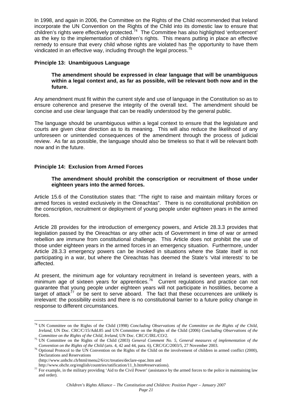In 1998, and again in 2006, the Committee on the Rights of the Child recommended that Ireland incorporate the UN Convention on the Rights of the Child into its domestic law to ensure that children's rights were effectively protected.<sup>[74](#page-24-0)</sup> The Committee has also highlighted 'enforcement' as the key to the implementation of children's rights. This means putting in place an effective remedy to ensure that every child whose rights are violated has the opportunity to have them vindicated in an effective way, including through the legal process.<sup>[75](#page-24-1)</sup>

#### **Principle 13: Unambiguous Language**

#### **The amendment should be expressed in clear language that will be unambiguous within a legal context and, as far as possible, will be relevant both now and in the future.**

Any amendment must fit within the current style and use of language in the Constitution so as to ensure coherence and preserve the integrity of the overall text. The amendment should be concise and use clear language that can be readily understood by the general public.

The language should be unambiguous within a legal context to ensure that the legislature and courts are given clear direction as to its meaning. This will also reduce the likelihood of any unforeseen or unintended consequences of the amendment through the process of judicial review. As far as possible, the language should also be timeless so that it will be relevant both now and in the future.

#### **Principle 14: Exclusion from Armed Forces**

#### **The amendment should prohibit the conscription or recruitment of those under eighteen years into the armed forces.**

Article 15.6 of the Constitution states that: "The right to raise and maintain military forces or armed forces is vested exclusively in the Oireachtas". There is no constitutional prohibition on the conscription, recruitment or deployment of young people under eighteen years in the armed forces.

Article 28 provides for the introduction of emergency powers, and Article 28.3.3 provides that legislation passed by the Oireachtas or any other acts of Government in time of war or armed rebellion are immune from constitutional challenge. This Article does not prohibit the use of those under eighteen years in the armed forces in an emergency situation. Furthermore, under Article 28.3.3 emergency powers can be invoked in situations where the State itself is not participating in a war, but where the Oireachtas has deemed the State's 'vital interests' to be affected.

At present, the minimum age for voluntary recruitment in Ireland is seventeen years, with a minimum age of sixteen years for apprentices.<sup>[76](#page-24-2)</sup> Current regulations and practice can not guarantee that young people under eighteen years will not participate in hostilities, become a target of attack<sup>[77](#page-24-3)</sup> or be sent to serve aboard. The fact that these occurrences are unlikely is irrelevant: the possibility exists and there is no constitutional barrier to a future policy change in response to different circumstances.

<span id="page-24-0"></span> $\overline{a}$ 74 UN Committee on the Rights of the Child (1998) *Concluding Observations of the Committee on the Rights of the Child, Ireland*, UN Doc. CRC/C/15/Add.85 and UN Committee on the Rights of the Child (2006) *Concluding Observations of the* 

<span id="page-24-1"></span>*Committee on the Rights of the Child, Ireland, UN Doc. CRC/C/IRL/CO/2.*<br><sup>75</sup> UN Committee on the Rights of the Child (2003) *General Comment No. 5, General measures of implementation of the* Convention on the Rights of the Child (arts. 4, 42 and 44, para. 6), CRC/GC/2003/5, 27 November 2003.<br><sup>76</sup> Optional Protocol to the UN Convention on the Rights of the Child on the involvement of children in armed conflict

<span id="page-24-2"></span>Declarations and Reservations (http://www.unhchr.ch/html/menu2/6/crc/treaties/declare-opac.htm and

<span id="page-24-3"></span>http://www.ohchr.org/english/countries/ratification/11\_b.htm#reservations). The example, in the military providing 'Aid to the Civil Power' (assistance by the armed forces to the police in maintaining law and order).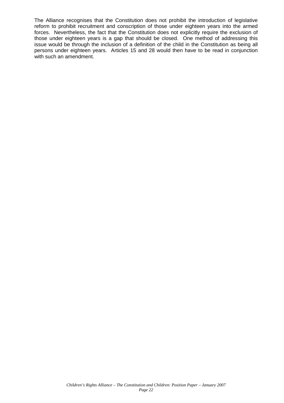The Alliance recognises that the Constitution does not prohibit the introduction of legislative reform to prohibit recruitment and conscription of those under eighteen years into the armed forces. Nevertheless, the fact that the Constitution does not explicitly require the exclusion of those under eighteen years is a gap that should be closed. One method of addressing this issue would be through the inclusion of a definition of the child in the Constitution as being all persons under eighteen years. Articles 15 and 28 would then have to be read in conjunction with such an amendment.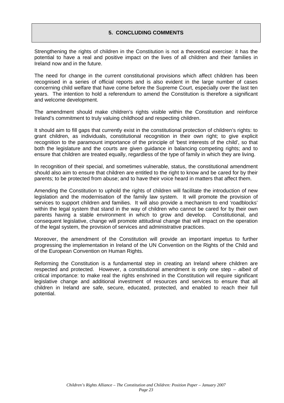#### **5. CONCLUDING COMMENTS**

<span id="page-26-0"></span>Strengthening the rights of children in the Constitution is not a theoretical exercise: it has the potential to have a real and positive impact on the lives of all children and their families in Ireland now and in the future.

The need for change in the current constitutional provisions which affect children has been recognised in a series of official reports and is also evident in the large number of cases concerning child welfare that have come before the Supreme Court, especially over the last ten years. The intention to hold a referendum to amend the Constitution is therefore a significant and welcome development.

The amendment should make children's rights visible within the Constitution and reinforce Ireland's commitment to truly valuing childhood and respecting children.

It should aim to fill gaps that currently exist in the constitutional protection of children's rights: to grant children, as individuals, constitutional recognition in their own right; to give explicit recognition to the paramount importance of the principle of 'best interests of the child', so that both the legislature and the courts are given guidance in balancing competing rights; and to ensure that children are treated equally, regardless of the type of family in which they are living.

In recognition of their special, and sometimes vulnerable, status, the constitutional amendment should also aim to ensure that children are entitled to the right to know and be cared for by their parents; to be protected from abuse; and to have their voice heard in matters that affect them.

Amending the Constitution to uphold the rights of children will facilitate the introduction of new legislation and the modernisation of the family law system. It will promote the provision of services to support children and families. It will also provide a mechanism to end 'roadblocks' within the legal system that stand in the way of children who cannot be cared for by their own parents having a stable environment in which to grow and develop. Constitutional, and consequent legislative, change will promote attitudinal change that will impact on the operation of the legal system, the provision of services and administrative practices.

Moreover, the amendment of the Constitution will provide an important impetus to further progressing the implementation in Ireland of the UN Convention on the Rights of the Child and of the European Convention on Human Rights.

Reforming the Constitution is a fundamental step in creating an Ireland where children are respected and protected. However, a constitutional amendment is only one step – *albeit* of critical importance: to make real the rights enshrined in the Constitution will require significant legislative change and additional investment of resources and services to ensure that all children in Ireland are safe, secure, educated, protected, and enabled to reach their full potential.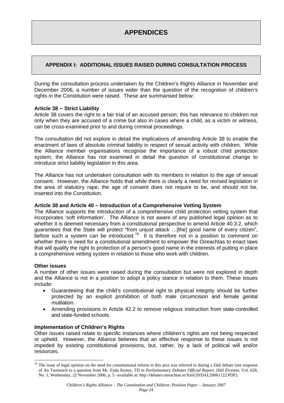# <span id="page-27-0"></span>**APPENDIX I: ADDITIONAL ISSUES RAISED DURING CONSULTATION PROCESS**

During the consultation process undertaken by the Children's Rights Alliance in November and December 2006, a number of issues wider than the question of the recognition of children's rights in the Constitution were raised. These are summarised below:

#### **Article 38 – Strict Liability**

Article 38 covers the right to a fair trial of an accused person; this has relevance to children not only when they are accused of a crime but also in cases where a child, as a victim or witness, can be cross-examined prior to and during criminal proceedings.

The consultation did not explore in detail the implications of amending Article 38 to enable the enactment of laws of absolute criminal liability in respect of sexual activity with children. While the Alliance member organisations recognise the importance of a robust child protection system, the Alliance has not examined in detail the question of constitutional change to introduce strict liability legislation in this area.

The Alliance has not undertaken consultation with its members in relation to the age of sexual consent. However, the Alliance holds that while there is clearly a need for revised legislation in the area of statutory rape, the age of consent does not require to be, and should not be, inserted into the Constitution.

#### **Article 38 and Article 40 – Introduction of a Comprehensive Vetting System**

The Alliance supports the introduction of a comprehensive child protection vetting system that incorporates 'soft information'. The Alliance is not aware of any published legal opinion as to whether it is deemed necessary from a constitutional perspective to amend Article 40.3.2, which guarantees that the State will protect "from unjust attack …[the] good name of every citizen", before such a system can be introduced.<sup>[78](#page-27-1)</sup> It is therefore not in a position to comment on whether there is need for a constitutional amendment to empower the Oireachtas to enact laws that will qualify the right to protection of a person's good name in the interests of putting in place a comprehensive vetting system in relation to those who work with children.

#### **Other issues**

 $\overline{a}$ 

A number of other issues were raised during the consultation but were not explored in depth and the Alliance is not in a position to adopt a policy stance in relation to them. These issues include:

- Guaranteeing that the child's constitutional right to physical integrity should be further protected by an explicit prohibition of both male circumcision and female genital mutilation.
- Amending provisions in Article 42.2 to remove religious instruction from state-controlled and state-funded schools.

#### **Implementation of Children's Rights**

Other issues raised relate to specific instances where children's rights are not being respected or upheld. However, the Alliance believes that an effective response to these issues is not impeded by existing constitutional provisions, but, rather, by a lack of political will and/or resources.

<span id="page-27-1"></span> $78$  The issue of legal opinion on the need for constitutional reform in this area was referred to during a Dáil debate (see response) of An Taoiseach to a question from Mr. Enda Kenny, TD in *Parliamentary Debates Official Report, Dáil Éireann*, Vol. 628, No. 1, Wednesday, 22 November 2006, p. 5 –available at: http://debates.oireachtas.ie/Xml/29/DAL20061122.PDF).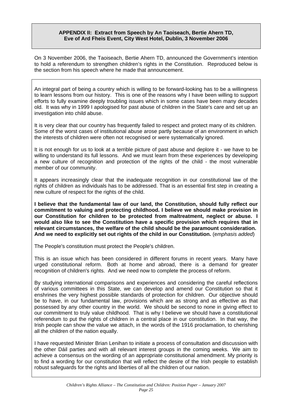#### **APPENDIX II: Extract from Speech by An Taoiseach, Bertie Ahern TD, Eve of Ard Fheis Event, City West Hotel, Dublin, 3 November 2006**

<span id="page-28-0"></span>On 3 November 2006, the Taoiseach, Bertie Ahern TD, announced the Government's intention to hold a referendum to strengthen children's rights in the Constitution. Reproduced below is the section from his speech where he made that announcement.

An integral part of being a country which is willing to be forward-looking has to be a willingness to learn lessons from our history. This is one of the reasons why I have been willing to support efforts to fully examine deeply troubling issues which in some cases have been many decades old. It was why in 1999 I apologised for past abuse of children in the State's care and set up an investigation into child abuse.

It is very clear that our country has frequently failed to respect and protect many of its children. Some of the worst cases of institutional abuse arose partly because of an environment in which the interests of children were often not recognised or were systematically ignored.

It is not enough for us to look at a terrible picture of past abuse and deplore it - we have to be willing to understand its full lessons. And we must learn from these experiences by developing a new culture of recognition and protection of the rights of the child - the most vulnerable member of our community.

It appears increasingly clear that the inadequate recognition in our constitutional law of the rights of children as individuals has to be addressed. That is an essential first step in creating a new culture of respect for the rights of the child.

**I believe that the fundamental law of our land, the Constitution, should fully reflect our commitment to valuing and protecting childhood. I believe we should make provision in our Constitution for children to be protected from maltreatment, neglect or abuse. I would also like to see the Constitution have a specific provision which requires that in relevant circumstances, the welfare of the child should be the paramount consideration. And we need to explicitly set out rights of the child in our Constitution.** (e*mphasis added*)

The People's constitution must protect the People's children.

This is an issue which has been considered in different forums in recent years. Many have urged constitutional reform. Both at home and abroad, there is a demand for greater recognition of children's rights. And we need now to complete the process of reform.

By studying international comparisons and experiences and considering the careful reflections of various committees in this State, we can develop and amend our Constitution so that it enshrines the very highest possible standards of protection for children. Our objective should be to have, in our fundamental law, provisions which are as strong and as effective as that possessed by any other country in the world. We should be second to none in giving effect to our commitment to truly value childhood. That is why I believe we should have a constitutional referendum to put the rights of children in a central place in our constitution. In that way, the Irish people can show the value we attach, in the words of the 1916 proclamation, to cherishing all the children of the nation equally.

I have requested Minister Brian Lenihan to initiate a process of consultation and discussion with the other Dáil parties and with all relevant interest groups in the coming weeks. We aim to achieve a consensus on the wording of an appropriate constitutional amendment. My priority is to find a wording for our constitution that will reflect the desire of the Irish people to establish robust safeguards for the rights and liberties of all the children of our nation.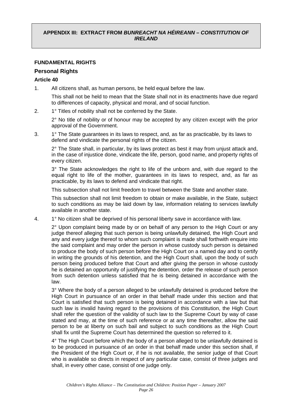#### <span id="page-29-0"></span>**APPENDIX III: EXTRACT FROM** *BUNREACHT NA HÉIREANN – CONSTITUTION OF IRELAND*

#### **FUNDAMENTAL RIGHTS**

#### **Personal Rights**

#### **Article 40**

1. All citizens shall, as human persons, be held equal before the law.

This shall not be held to mean that the State shall not in its enactments have due regard to differences of capacity, physical and moral, and of social function.

2. 1° Titles of nobility shall not be conferred by the State.

2° No title of nobility or of honour may be accepted by any citizen except with the prior approval of the Government.

3. 1° The State guarantees in its laws to respect, and, as far as practicable, by its laws to defend and vindicate the personal rights of the citizen.

2° The State shall, in particular, by its laws protect as best it may from unjust attack and, in the case of injustice done, vindicate the life, person, good name, and property rights of every citizen.

3° The State acknowledges the right to life of the unborn and, with due regard to the equal right to life of the mother, guarantees in its laws to respect, and, as far as practicable, by its laws to defend and vindicate that right.

This subsection shall not limit freedom to travel between the State and another state.

This subsection shall not limit freedom to obtain or make available, in the State, subject to such conditions as may be laid down by law, information relating to services lawfully available in another state.

4. 1° No citizen shall be deprived of his personal liberty save in accordance with law.

 2° Upon complaint being made by or on behalf of any person to the High Court or any judge thereof alleging that such person is being unlawfully detained, the High Court and any and every judge thereof to whom such complaint is made shall forthwith enquire into the said complaint and may order the person in whose custody such person is detained to produce the body of such person before the High Court on a named day and to certify in writing the grounds of his detention, and the High Court shall, upon the body of such person being produced before that Court and after giving the person in whose custody he is detained an opportunity of justifying the detention, order the release of such person from such detention unless satisfied that he is being detained in accordance with the law.

 3° Where the body of a person alleged to be unlawfully detained is produced before the High Court in pursuance of an order in that behalf made under this section and that Court is satisfied that such person is being detained in accordance with a law but that such law is invalid having regard to the provisions of this Constitution, the High Court shall refer the question of the validity of such law to the Supreme Court by way of case stated and may, at the time of such reference or at any time thereafter, allow the said person to be at liberty on such bail and subject to such conditions as the High Court shall fix until the Supreme Court has determined the question so referred to it.

4° The High Court before which the body of a person alleged to be unlawfully detained is to be produced in pursuance of an order in that behalf made under this section shall, if the President of the High Court or, if he is not available, the senior judge of that Court who is available so directs in respect of any particular case, consist of three judges and shall, in every other case, consist of one judge only.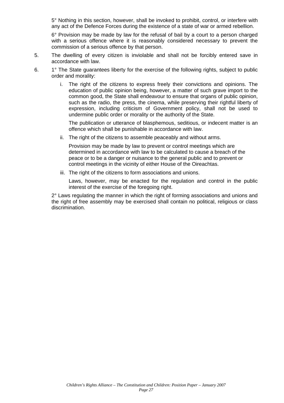5° Nothing in this section, however, shall be invoked to prohibit, control, or interfere with any act of the Defence Forces during the existence of a state of war or armed rebellion.

6° Provision may be made by law for the refusal of bail by a court to a person charged with a serious offence where it is reasonably considered necessary to prevent the commission of a serious offence by that person.

- 5. The dwelling of every citizen is inviolable and shall not be forcibly entered save in accordance with law.
- 6. 1° The State guarantees liberty for the exercise of the following rights, subject to public order and morality:
	- i. The right of the citizens to express freely their convictions and opinions. The education of public opinion being, however, a matter of such grave import to the common good, the State shall endeavour to ensure that organs of public opinion, such as the radio, the press, the cinema, while preserving their rightful liberty of expression, including criticism of Government policy, shall not be used to undermine public order or morality or the authority of the State.

The publication or utterance of blasphemous, seditious, or indecent matter is an offence which shall be punishable in accordance with law.

ii. The right of the citizens to assemble peaceably and without arms.

Provision may be made by law to prevent or control meetings which are determined in accordance with law to be calculated to cause a breach of the peace or to be a danger or nuisance to the general public and to prevent or control meetings in the vicinity of either House of the Oireachtas.

iii. The right of the citizens to form associations and unions.

Laws, however, may be enacted for the regulation and control in the public interest of the exercise of the foregoing right.

2° Laws regulating the manner in which the right of forming associations and unions and the right of free assembly may be exercised shall contain no political, religious or class discrimination.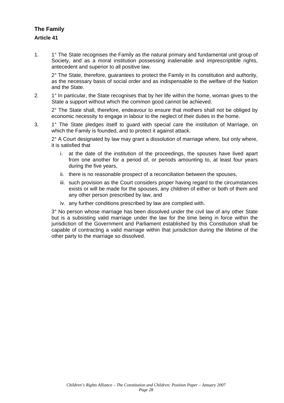# **The Family Article 41**

1. 1° The State recognises the Family as the natural primary and fundamental unit group of Society, and as a moral institution possessing inalienable and imprescriptible rights, antecedent and superior to all positive law.

2° The State, therefore, guarantees to protect the Family in its constitution and authority, as the necessary basis of social order and as indispensable to the welfare of the Nation and the State.

2. 1<sup>°</sup> In particular, the State recognises that by her life within the home, woman gives to the State a support without which the common good cannot be achieved.

2° The State shall, therefore, endeavour to ensure that mothers shall not be obliged by economic necessity to engage in labour to the neglect of their duties in the home.

3. 1° The State pledges itself to guard with special care the institution of Marriage, on which the Family is founded, and to protect it against attack.

2° A Court designated by law may grant a dissolution of marriage where, but only where, it is satisfied that

- i. at the date of the institution of the proceedings, the spouses have lived apart from one another for a period of, or periods amounting to, at least four years during the five years,
- ii. there is no reasonable prospect of a reconciliation between the spouses,
- iii. such provision as the Court considers proper having regard to the circumstances exists or will be made for the spouses, any children of either or both of them and any other person prescribed by law, and
- iv. any further conditions prescribed by law are complied with.

3° No person whose marriage has been dissolved under the civil law of any other State but is a subsisting valid marriage under the law for the time being in force within the jurisdiction of the Government and Parliament established by this Constitution shall be capable of contracting a valid marriage within that jurisdiction during the lifetime of the other party to the marriage so dissolved.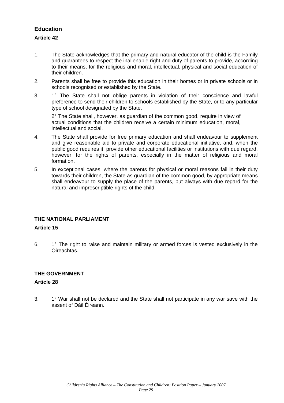# **Education**

#### **Article 42**

- 1. The State acknowledges that the primary and natural educator of the child is the Family and guarantees to respect the inalienable right and duty of parents to provide, according to their means, for the religious and moral, intellectual, physical and social education of their children.
- 2. Parents shall be free to provide this education in their homes or in private schools or in schools recognised or established by the State.
- 3. 1° The State shall not oblige parents in violation of their conscience and lawful preference to send their children to schools established by the State, or to any particular type of school designated by the State.

2° The State shall, however, as guardian of the common good, require in view of actual conditions that the children receive a certain minimum education, moral, intellectual and social.

- 4. The State shall provide for free primary education and shall endeavour to supplement and give reasonable aid to private and corporate educational initiative, and, when the public good requires it, provide other educational facilities or institutions with due regard, however, for the rights of parents, especially in the matter of religious and moral formation.
- 5. In exceptional cases, where the parents for physical or moral reasons fail in their duty towards their children, the State as guardian of the common good, by appropriate means shall endeavour to supply the place of the parents, but always with due regard for the natural and imprescriptible rights of the child.

#### **THE NATIONAL PARLIAMENT**

#### **Article 15**

6. 1° The right to raise and maintain military or armed forces is vested exclusively in the **Oireachtas** 

#### **THE GOVERNMENT**

#### **Article 28**

3. 1° War shall not be declared and the State shall not participate in any war save with the assent of Dáil Éireann.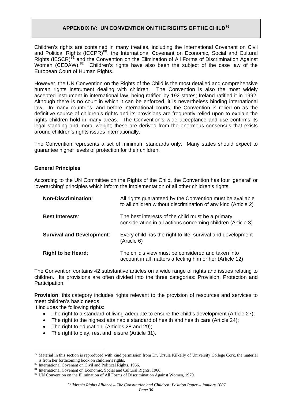# **APPENDIX IV: UN CONVENTION ON THE RIGHTS OF THE CHILD[79](#page-33-1)**

<span id="page-33-0"></span>Children's rights are contained in many treaties, including the International Covenant on Civil and Political Rights (ICCPR)<sup>[80](#page-33-2)</sup>, the International Covenant on Economic, Social and Cultural Rights (IESCR)<sup>[81](#page-33-3)</sup> and the Convention on the Elimination of All Forms of Discrimination Against Women (CEDAW).<sup>[82](#page-33-4)</sup> Children's rights have also been the subject of the case law of the European Court of Human Rights.

However, the UN Convention on the Rights of the Child is the most detailed and comprehensive human rights instrument dealing with children. The Convention is also the most widely accepted instrument in international law, being ratified by 192 states; Ireland ratified it in 1992. Although there is no court in which it can be enforced, it is nevertheless binding international law. In many countries, and before international courts, the Convention is relied on as the definitive source of children's rights and its provisions are frequently relied upon to explain the rights children hold in many areas. The Convention's wide acceptance and use confirms its legal standing and moral weight; these are derived from the enormous consensus that exists around children's rights issues internationally.

The Convention represents a set of minimum standards only. Many states should expect to guarantee higher levels of protection for their children.

#### **General Principles**

According to the UN Committee on the Rights of the Child, the Convention has four 'general' or 'overarching' principles which inform the implementation of all other children's rights.

| <b>Non-Discrimination:</b>       | All rights guaranteed by the Convention must be available<br>to all children without discrimination of any kind (Article 2) |
|----------------------------------|-----------------------------------------------------------------------------------------------------------------------------|
| <b>Best Interests:</b>           | The best interests of the child must be a primary<br>consideration in all actions concerning children (Article 3)           |
| <b>Survival and Development:</b> | Every child has the right to life, survival and development<br>(Article 6)                                                  |
| <b>Right to be Heard:</b>        | The child's view must be considered and taken into<br>account in all matters affecting him or her (Article 12)              |

The Convention contains 42 substantive articles on a wide range of rights and issues relating to children. Its provisions are often divided into the three categories: Provision, Protection and Participation.

**Provision**: this category includes rights relevant to the provision of resources and services to meet children's basic needs

It includes the following rights:

 $\overline{a}$ 

- The right to a standard of living adequate to ensure the child's development (Article 27);
- The right to the highest attainable standard of health and health care (Article 24);
- The right to education (Articles 28 and 29);
- The right to play, rest and leisure (Article 31).

*Page 30*

<span id="page-33-1"></span> $79$  Material in this section is reproduced with kind permission from Dr. Ursula Kilkelly of University College Cork, the material is from her forthcoming book on children's rights.<br>  $^{80}$  International Covenant on Civil and Political Rights, 1966.<br>  $^{81}$  International Covenant on Economic, Social and Cultural Rights, 1966.<br>  $^{82}$  UN Convention on

<span id="page-33-3"></span><span id="page-33-2"></span>

<span id="page-33-4"></span>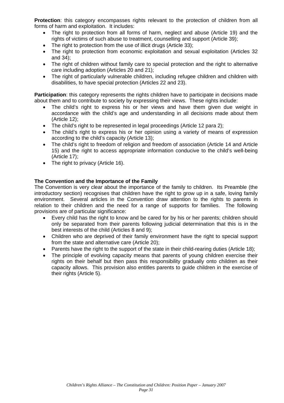**Protection**: this category encompasses rights relevant to the protection of children from all forms of harm and exploitation. It includes:

- The right to protection from all forms of harm, neglect and abuse (Article 19) and the rights of victims of such abuse to treatment, counselling and support (Article 39);
- The right to protection from the use of illicit drugs (Article 33):
- The right to protection from economic exploitation and sexual exploitation (Articles 32 and 34);
- The right of children without family care to special protection and the right to alternative care including adoption (Articles 20 and 21);
- The right of particularly vulnerable children, including refugee children and children with disabilities, to have special protection (Articles 22 and 23).

**Participation**: this category represents the rights children have to participate in decisions made about them and to contribute to society by expressing their views. These rights include:

- The child's right to express his or her views and have them given due weight in accordance with the child's age and understanding in all decisions made about them (Article 12);
- The child's right to be represented in legal proceedings (Article 12 para 2):
- The child's right to express his or her opinion using a variety of means of expression according to the child's capacity (Article 13);
- The child's right to freedom of religion and freedom of association (Article 14 and Article 15) and the right to access appropriate information conducive to the child's well-being (Article 17);
- The right to privacy (Article 16).

#### **The Convention and the Importance of the Family**

The Convention is very clear about the importance of the family to children. Its Preamble (the introductory section) recognises that children have the right to grow up in a safe, loving family environment. Several articles in the Convention draw attention to the rights to parents in relation to their children and the need for a range of supports for families. The following provisions are of particular significance:

- Every child has the right to know and be cared for by his or her parents; children should only be separated from their parents following judicial determination that this is in the best interests of the child (Articles 8 and 9);
- Children who are deprived of their family environment have the right to special support from the state and alternative care (Article 20);
- Parents have the right to the support of the state in their child-rearing duties (Article 18);
- The principle of evolving capacity means that parents of young children exercise their rights on their behalf but then pass this responsibility gradually onto children as their capacity allows. This provision also entitles parents to guide children in the exercise of their rights (Article 5).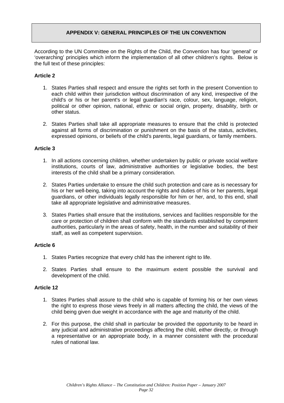#### **APPENDIX V: GENERAL PRINCIPLES OF THE UN CONVENTION**

<span id="page-35-0"></span>According to the UN Committee on the Rights of the Child, the Convention has four 'general' or 'overarching' principles which inform the implementation of all other children's rights. Below is the full text of these principles:

#### **Article 2**

- 1. States Parties shall respect and ensure the rights set forth in the present Convention to each child within their jurisdiction without discrimination of any kind, irrespective of the child's or his or her parent's or legal guardian's race, colour, sex, language, religion, political or other opinion, national, ethnic or social origin, property, disability, birth or other status.
- 2. States Parties shall take all appropriate measures to ensure that the child is protected against all forms of discrimination or punishment on the basis of the status, activities, expressed opinions, or beliefs of the child's parents, legal guardians, or family members.

#### **Article 3**

- 1. In all actions concerning children, whether undertaken by public or private social welfare institutions, courts of law, administrative authorities or legislative bodies, the best interests of the child shall be a primary consideration.
- 2. States Parties undertake to ensure the child such protection and care as is necessary for his or her well-being, taking into account the rights and duties of his or her parents, legal guardians, or other individuals legally responsible for him or her, and, to this end, shall take all appropriate legislative and administrative measures.
- 3. States Parties shall ensure that the institutions, services and facilities responsible for the care or protection of children shall conform with the standards established by competent authorities, particularly in the areas of safety, health, in the number and suitability of their staff, as well as competent supervision.

#### **Article 6**

- 1. States Parties recognize that every child has the inherent right to life.
- 2. States Parties shall ensure to the maximum extent possible the survival and development of the child.

#### **Article 12**

- 1. States Parties shall assure to the child who is capable of forming his or her own views the right to express those views freely in all matters affecting the child, the views of the child being given due weight in accordance with the age and maturity of the child.
- 2. For this purpose, the child shall in particular be provided the opportunity to be heard in any judicial and administrative proceedings affecting the child, either directly, or through a representative or an appropriate body, in a manner consistent with the procedural rules of national law.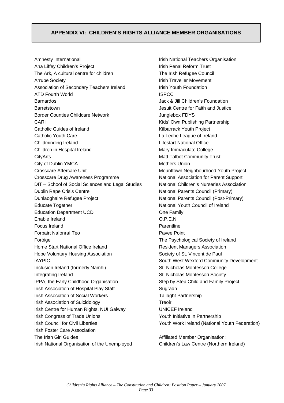#### <span id="page-36-0"></span>**APPENDIX VI: CHILDREN'S RIGHTS ALLIANCE MEMBER ORGANISATIONS**

Amnesty International Ana Liffey Children's Project The Ark, A cultural centre for children Arrupe Society Association of Secondary Teachers Ireland ATD Fourth World Barnardos **Barretstown** Border Counties Childcare Network CARI Catholic Guides of Ireland Catholic Youth Care Childminding Ireland Children in Hospital Ireland **CityArts** City of Dublin YMCA Crosscare Aftercare Unit Crosscare Drug Awareness Programme DIT – School of Social Sciences and Legal Studies Dublin Rape Crisis Centre Dunlaoghaire Refugee Project Educate Together Education Department UCD Enable Ireland Focus Ireland Forbairt Naíonraí Teo Foróige Home Start National Office Ireland Hope Voluntary Housing Association IAYPIC Inclusion Ireland (formerly Namhi) Integrating Ireland IPPA, the Early Childhood Organisation Irish Association of Hospital Play Staff Irish Association of Social Workers Irish Association of Suicidology Irish Centre for Human Rights, NUI Galway Irish Congress of Trade Unions Irish Council for Civil Liberties Irish Foster Care Association The Irish Girl Guides Irish National Organisation of the Unemployed

Irish National Teachers Organisation Irish Penal Reform Trust The Irish Refugee Council Irish Traveller Movement Irish Youth Foundation ISPCC Jack & Jill Children's Foundation Jesuit Centre for Faith and Justice Junglebox FDYS Kids' Own Publishing Partnership Kilbarrack Youth Project La Leche League of Ireland Lifestart National Office Mary Immaculate College Matt Talbot Community Trust Mothers Union Mounttown Neighbourhood Youth Project National Association for Parent Support National Children's Nurseries Association National Parents Council (Primary) National Parents Council (Post-Primary) National Youth Council of Ireland One Family O.P.E.N. **Parentline** Pavee Point The Psychological Society of Ireland Resident Managers Association Society of St. Vincent de Paul South West Wexford Community Development St. Nicholas Montessori College St. Nicholas Montessori Society Step by Step Child and Family Project **Sugradh** Tallaght Partnership Treoir UNICEF Ireland Youth Initiative in Partnership Youth Work Ireland (National Youth Federation)

Affiliated Member Organisation: Children's Law Centre (Northern Ireland)